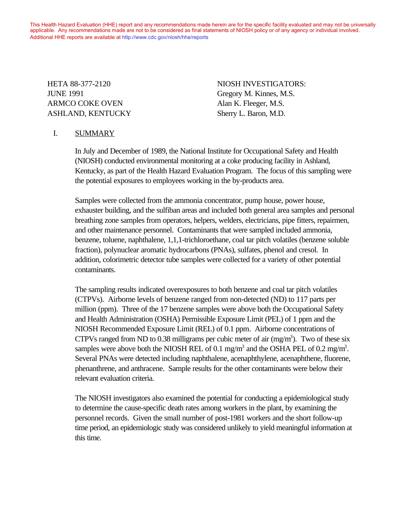This Health Hazard Evaluation (HHE) report and any recommendations made herein are for the specific facility evaluated and may not be universally applicable. Any recommendations made are not to be considered as final statements of NIOSH policy or of any agency or individual involved. Additional HHE reports are available at http://www.cdc.gov/niosh/hhe/reports Additional HHE reports are available at [http://www.cdc.gov/niosh/hhe/reports](http://www.cdc.gov/niosh/hhe)

JUNE 1991 Gregory M. Kinnes, M.S. ARMCO COKE OVEN Alan K. Fleeger, M.S. ASHLAND, KENTUCKY Sherry L. Baron, M.D.

HETA 88-377-2120 NIOSH INVESTIGATORS:

## I. SUMMARY

In July and December of 1989, the National Institute for Occupational Safety and Health (NIOSH) conducted environmental monitoring at a coke producing facility in Ashland, Kentucky, as part of the Health Hazard Evaluation Program. The focus of this sampling were the potential exposures to employees working in the by-products area.

Samples were collected from the ammonia concentrator, pump house, power house, exhauster building, and the sulfiban areas and included both general area samples and personal breathing zone samples from operators, helpers, welders, electricians, pipe fitters, repairmen, and other maintenance personnel. Contaminants that were sampled included ammonia, benzene, toluene, naphthalene, 1,1,1-trichloroethane, coal tar pitch volatiles (benzene soluble fraction), polynuclear aromatic hydrocarbons (PNAs), sulfates, phenol and cresol. In addition, colorimetric detector tube samples were collected for a variety of other potential contaminants.

The sampling results indicated overexposures to both benzene and coal tar pitch volatiles (CTPVs). Airborne levels of benzene ranged from non-detected (ND) to 117 parts per million (ppm). Three of the 17 benzene samples were above both the Occupational Safety and Health Administration (OSHA) Permissible Exposure Limit (PEL) of 1 ppm and the NIOSH Recommended Exposure Limit (REL) of 0.1 ppm. Airborne concentrations of CTPVs ranged from ND to 0.38 milligrams per cubic meter of air  $(mg/m<sup>3</sup>)$ . Two of these six samples were above both the NIOSH REL of 0.1 mg/m<sup>3</sup> and the OSHA PEL of 0.2 mg/m<sup>3</sup>. Several PNAs were detected including naphthalene, acenaphthylene, acenaphthene, fluorene, phenanthrene, and anthracene. Sample results for the other contaminants were below their relevant evaluation criteria.

The NIOSH investigators also examined the potential for conducting a epidemiological study to determine the cause-specific death rates among workers in the plant, by examining the personnel records. Given the small number of post-1981 workers and the short follow-up time period, an epidemiologic study was considered unlikely to yield meaningful information at this time.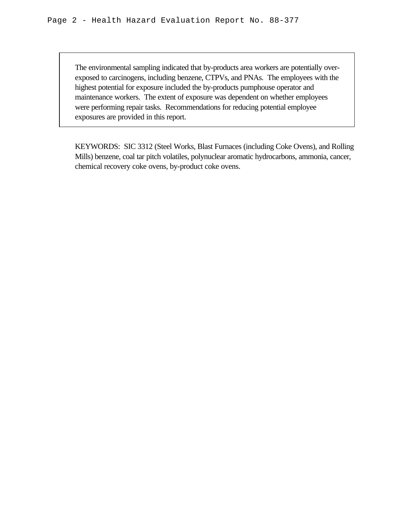The environmental sampling indicated that by-products area workers are potentially overexposed to carcinogens, including benzene, CTPVs, and PNAs. The employees with the highest potential for exposure included the by-products pumphouse operator and maintenance workers. The extent of exposure was dependent on whether employees were performing repair tasks. Recommendations for reducing potential employee exposures are provided in this report.

KEYWORDS: SIC 3312 (Steel Works, Blast Furnaces (including Coke Ovens), and Rolling Mills) benzene, coal tar pitch volatiles, polynuclear aromatic hydrocarbons, ammonia, cancer, chemical recovery coke ovens, by-product coke ovens.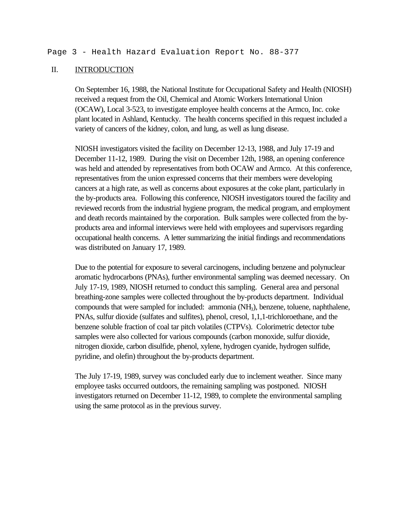### II. INTRODUCTION

On September 16, 1988, the National Institute for Occupational Safety and Health (NIOSH) received a request from the Oil, Chemical and Atomic Workers International Union (OCAW), Local 3-523, to investigate employee health concerns at the Armco, Inc. coke plant located in Ashland, Kentucky. The health concerns specified in this request included a variety of cancers of the kidney, colon, and lung, as well as lung disease.

NIOSH investigators visited the facility on December 12-13, 1988, and July 17-19 and December 11-12, 1989. During the visit on December 12th, 1988, an opening conference was held and attended by representatives from both OCAW and Armco. At this conference, representatives from the union expressed concerns that their members were developing cancers at a high rate, as well as concerns about exposures at the coke plant, particularly in the by-products area. Following this conference, NIOSH investigators toured the facility and reviewed records from the industrial hygiene program, the medical program, and employment and death records maintained by the corporation. Bulk samples were collected from the byproducts area and informal interviews were held with employees and supervisors regarding occupational health concerns. A letter summarizing the initial findings and recommendations was distributed on January 17, 1989.

Due to the potential for exposure to several carcinogens, including benzene and polynuclear aromatic hydrocarbons (PNAs), further environmental sampling was deemed necessary. On July 17-19, 1989, NIOSH returned to conduct this sampling. General area and personal breathing-zone samples were collected throughout the by-products department. Individual compounds that were sampled for included: ammonia (NH<sub>3</sub>), benzene, toluene, naphthalene, PNAs, sulfur dioxide (sulfates and sulfites), phenol, cresol, 1,1,1-trichloroethane, and the benzene soluble fraction of coal tar pitch volatiles (CTPVs). Colorimetric detector tube samples were also collected for various compounds (carbon monoxide, sulfur dioxide, nitrogen dioxide, carbon disulfide, phenol, xylene, hydrogen cyanide, hydrogen sulfide, pyridine, and olefin) throughout the by-products department.

The July 17-19, 1989, survey was concluded early due to inclement weather. Since many employee tasks occurred outdoors, the remaining sampling was postponed. NIOSH investigators returned on December 11-12, 1989, to complete the environmental sampling using the same protocol as in the previous survey.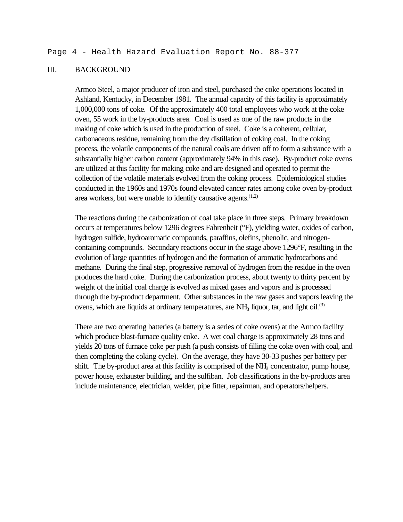### III. BACKGROUND

Armco Steel, a major producer of iron and steel, purchased the coke operations located in Ashland, Kentucky, in December 1981. The annual capacity of this facility is approximately 1,000,000 tons of coke. Of the approximately 400 total employees who work at the coke oven, 55 work in the by-products area. Coal is used as one of the raw products in the making of coke which is used in the production of steel. Coke is a coherent, cellular, carbonaceous residue, remaining from the dry distillation of coking coal. In the coking process, the volatile components of the natural coals are driven off to form a substance with a substantially higher carbon content (approximately 94% in this case). By-product coke ovens are utilized at this facility for making coke and are designed and operated to permit the collection of the volatile materials evolved from the coking process. Epidemiological studies conducted in the 1960s and 1970s found elevated cancer rates among coke oven by-product area workers, but were unable to identify causative agents.  $(1,2)$ 

The reactions during the carbonization of coal take place in three steps. Primary breakdown occurs at temperatures below 1296 degrees Fahrenheit (°F), yielding water, oxides of carbon, hydrogen sulfide, hydroaromatic compounds, paraffins, olefins, phenolic, and nitrogencontaining compounds. Secondary reactions occur in the stage above 1296°F, resulting in the evolution of large quantities of hydrogen and the formation of aromatic hydrocarbons and methane. During the final step, progressive removal of hydrogen from the residue in the oven produces the hard coke. During the carbonization process, about twenty to thirty percent by weight of the initial coal charge is evolved as mixed gases and vapors and is processed through the by-product department. Other substances in the raw gases and vapors leaving the ovens, which are liquids at ordinary temperatures, are  $NH<sub>3</sub>$  liquor, tar, and light oil.<sup>(3)</sup>

There are two operating batteries (a battery is a series of coke ovens) at the Armco facility which produce blast-furnace quality coke. A wet coal charge is approximately 28 tons and yields 20 tons of furnace coke per push (a push consists of filling the coke oven with coal, and then completing the coking cycle). On the average, they have 30-33 pushes per battery per shift. The by-product area at this facility is comprised of the NH<sub>3</sub> concentrator, pump house, power house, exhauster building, and the sulfiban. Job classifications in the by-products area include maintenance, electrician, welder, pipe fitter, repairman, and operators/helpers.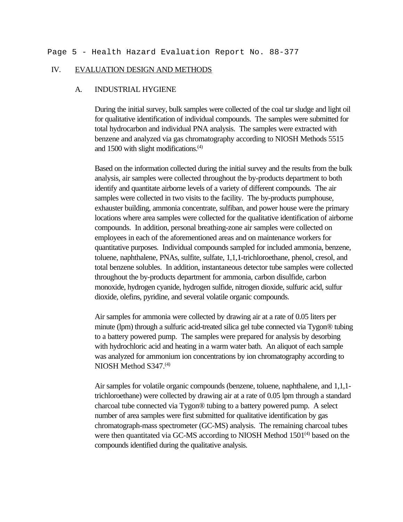### IV. EVALUATION DESIGN AND METHODS

### A. INDUSTRIAL HYGIENE

During the initial survey, bulk samples were collected of the coal tar sludge and light oil for qualitative identification of individual compounds. The samples were submitted for total hydrocarbon and individual PNA analysis. The samples were extracted with benzene and analyzed via gas chromatography according to NIOSH Methods 5515 and 1500 with slight modifications. $(4)$ 

Based on the information collected during the initial survey and the results from the bulk analysis, air samples were collected throughout the by-products department to both identify and quantitate airborne levels of a variety of different compounds. The air samples were collected in two visits to the facility. The by-products pumphouse, exhauster building, ammonia concentrate, sulfiban, and power house were the primary locations where area samples were collected for the qualitative identification of airborne compounds. In addition, personal breathing-zone air samples were collected on employees in each of the aforementioned areas and on maintenance workers for quantitative purposes. Individual compounds sampled for included ammonia, benzene, toluene, naphthalene, PNAs, sulfite, sulfate, 1,1,1-trichloroethane, phenol, cresol, and total benzene solubles. In addition, instantaneous detector tube samples were collected throughout the by-products department for ammonia, carbon disulfide, carbon monoxide, hydrogen cyanide, hydrogen sulfide, nitrogen dioxide, sulfuric acid, sulfur dioxide, olefins, pyridine, and several volatile organic compounds.

Air samples for ammonia were collected by drawing air at a rate of 0.05 liters per minute (lpm) through a sulfuric acid-treated silica gel tube connected via Tygon® tubing to a battery powered pump. The samples were prepared for analysis by desorbing with hydrochloric acid and heating in a warm water bath. An aliquot of each sample was analyzed for ammonium ion concentrations by ion chromatography according to NIOSH Method S347.<sup>(4)</sup>

Air samples for volatile organic compounds (benzene, toluene, naphthalene, and 1,1,1 trichloroethane) were collected by drawing air at a rate of 0.05 lpm through a standard charcoal tube connected via Tygon® tubing to a battery powered pump. A select number of area samples were first submitted for qualitative identification by gas chromatograph-mass spectrometer (GC-MS) analysis. The remaining charcoal tubes were then quantitated via GC-MS according to NIOSH Method  $1501<sup>(4)</sup>$  based on the compounds identified during the qualitative analysis.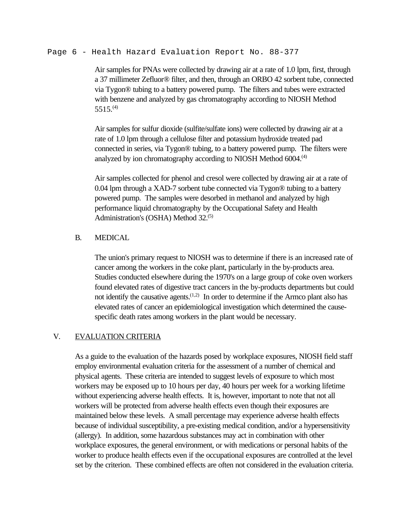#### Page 6 - Health Hazard Evaluation Report No. 88-377

Air samples for PNAs were collected by drawing air at a rate of 1.0 lpm, first, through a 37 millimeter Zefluor® filter, and then, through an ORBO 42 sorbent tube, connected via Tygon® tubing to a battery powered pump. The filters and tubes were extracted with benzene and analyzed by gas chromatography according to NIOSH Method  $5515^{(4)}$ 

Air samples for sulfur dioxide (sulfite/sulfate ions) were collected by drawing air at a rate of 1.0 lpm through a cellulose filter and potassium hydroxide treated pad connected in series, via Tygon® tubing, to a battery powered pump. The filters were analyzed by ion chromatography according to NIOSH Method 6004.<sup>(4)</sup>

Air samples collected for phenol and cresol were collected by drawing air at a rate of 0.04 lpm through a XAD-7 sorbent tube connected via Tygon® tubing to a battery powered pump. The samples were desorbed in methanol and analyzed by high performance liquid chromatography by the Occupational Safety and Health Administration's (OSHA) Method 32.<sup>(5)</sup>

### B. MEDICAL

The union's primary request to NIOSH was to determine if there is an increased rate of cancer among the workers in the coke plant, particularly in the by-products area. Studies conducted elsewhere during the 1970's on a large group of coke oven workers found elevated rates of digestive tract cancers in the by-products departments but could not identify the causative agents.<sup> $(1,2)$ </sup> In order to determine if the Armco plant also has elevated rates of cancer an epidemiological investigation which determined the causespecific death rates among workers in the plant would be necessary.

### V. EVALUATION CRITERIA

As a guide to the evaluation of the hazards posed by workplace exposures, NIOSH field staff employ environmental evaluation criteria for the assessment of a number of chemical and physical agents. These criteria are intended to suggest levels of exposure to which most workers may be exposed up to 10 hours per day, 40 hours per week for a working lifetime without experiencing adverse health effects. It is, however, important to note that not all workers will be protected from adverse health effects even though their exposures are maintained below these levels. A small percentage may experience adverse health effects because of individual susceptibility, a pre-existing medical condition, and/or a hypersensitivity (allergy). In addition, some hazardous substances may act in combination with other workplace exposures, the general environment, or with medications or personal habits of the worker to produce health effects even if the occupational exposures are controlled at the level set by the criterion. These combined effects are often not considered in the evaluation criteria.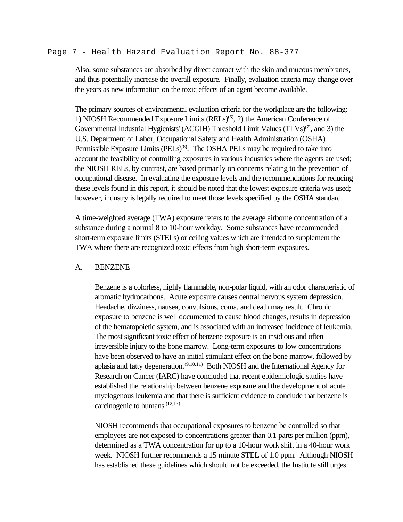#### Page 7 - Health Hazard Evaluation Report No. 88-377

Also, some substances are absorbed by direct contact with the skin and mucous membranes, and thus potentially increase the overall exposure. Finally, evaluation criteria may change over the years as new information on the toxic effects of an agent become available.

The primary sources of environmental evaluation criteria for the workplace are the following: 1) NIOSH Recommended Exposure Limits  $(RE Ls)^{(6)}$ , 2) the American Conference of Governmental Industrial Hygienists' (ACGIH) Threshold Limit Values  $(TLVs)^{(7)}$ , and 3) the U.S. Department of Labor, Occupational Safety and Health Administration (OSHA) Permissible Exposure Limits (PELs)<sup>(8)</sup>. The OSHA PELs may be required to take into account the feasibility of controlling exposures in various industries where the agents are used; the NIOSH RELs, by contrast, are based primarily on concerns relating to the prevention of occupational disease. In evaluating the exposure levels and the recommendations for reducing these levels found in this report, it should be noted that the lowest exposure criteria was used; however, industry is legally required to meet those levels specified by the OSHA standard.

A time-weighted average (TWA) exposure refers to the average airborne concentration of a substance during a normal 8 to 10-hour workday. Some substances have recommended short-term exposure limits (STELs) or ceiling values which are intended to supplement the TWA where there are recognized toxic effects from high short-term exposures.

#### A. BENZENE

Benzene is a colorless, highly flammable, non-polar liquid, with an odor characteristic of aromatic hydrocarbons. Acute exposure causes central nervous system depression. Headache, dizziness, nausea, convulsions, coma, and death may result. Chronic exposure to benzene is well documented to cause blood changes, results in depression of the hematopoietic system, and is associated with an increased incidence of leukemia. The most significant toxic effect of benzene exposure is an insidious and often irreversible injury to the bone marrow. Long-term exposures to low concentrations have been observed to have an initial stimulant effect on the bone marrow, followed by aplasia and fatty degeneration.<sup> $(9,10,11)$ </sup> Both NIOSH and the International Agency for Research on Cancer (IARC) have concluded that recent epidemiologic studies have established the relationship between benzene exposure and the development of acute myelogenous leukemia and that there is sufficient evidence to conclude that benzene is carcinogenic to humans.  $(12,13)$ 

NIOSH recommends that occupational exposures to benzene be controlled so that employees are not exposed to concentrations greater than 0.1 parts per million (ppm), determined as a TWA concentration for up to a 10-hour work shift in a 40-hour work week. NIOSH further recommends a 15 minute STEL of 1.0 ppm. Although NIOSH has established these guidelines which should not be exceeded, the Institute still urges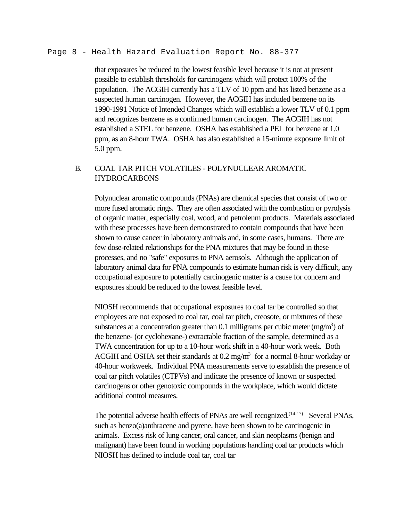#### Page 8 - Health Hazard Evaluation Report No. 88-377

that exposures be reduced to the lowest feasible level because it is not at present possible to establish thresholds for carcinogens which will protect 100% of the population. The ACGIH currently has a TLV of 10 ppm and has listed benzene as a suspected human carcinogen. However, the ACGIH has included benzene on its 1990-1991 Notice of Intended Changes which will establish a lower TLV of 0.1 ppm and recognizes benzene as a confirmed human carcinogen. The ACGIH has not established a STEL for benzene. OSHA has established a PEL for benzene at 1.0 ppm, as an 8-hour TWA. OSHA has also established a 15-minute exposure limit of 5.0 ppm.

# B. COAL TAR PITCH VOLATILES - POLYNUCLEAR AROMATIC HYDROCARBONS

Polynuclear aromatic compounds (PNAs) are chemical species that consist of two or more fused aromatic rings. They are often associated with the combustion or pyrolysis of organic matter, especially coal, wood, and petroleum products. Materials associated with these processes have been demonstrated to contain compounds that have been shown to cause cancer in laboratory animals and, in some cases, humans. There are few dose-related relationships for the PNA mixtures that may be found in these processes, and no "safe" exposures to PNA aerosols. Although the application of laboratory animal data for PNA compounds to estimate human risk is very difficult, any occupational exposure to potentially carcinogenic matter is a cause for concern and exposures should be reduced to the lowest feasible level.

NIOSH recommends that occupational exposures to coal tar be controlled so that employees are not exposed to coal tar, coal tar pitch, creosote, or mixtures of these substances at a concentration greater than 0.1 milligrams per cubic meter  $(mg/m<sup>3</sup>)$  of the benzene- (or cyclohexane-) extractable fraction of the sample, determined as a TWA concentration for up to a 10-hour work shift in a 40-hour work week. Both ACGIH and OSHA set their standards at  $0.2 \text{ mg/m}^3$  for a normal 8-hour workday or 40-hour workweek. Individual PNA measurements serve to establish the presence of coal tar pitch volatiles (CTPVs) and indicate the presence of known or suspected carcinogens or other genotoxic compounds in the workplace, which would dictate additional control measures.

The potential adverse health effects of PNAs are well recognized.<sup>(14-17)</sup> Several PNAs, such as benzo(a)anthracene and pyrene, have been shown to be carcinogenic in animals. Excess risk of lung cancer, oral cancer, and skin neoplasms (benign and malignant) have been found in working populations handling coal tar products which NIOSH has defined to include coal tar, coal tar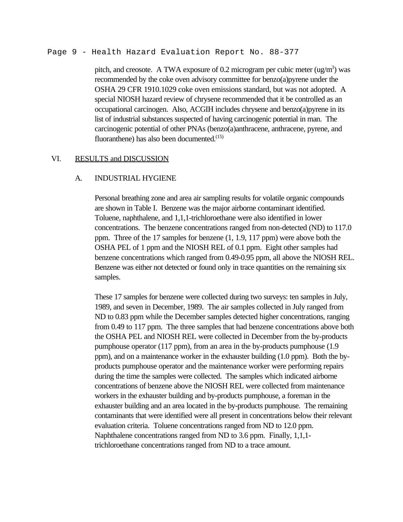Page 9 - Health Hazard Evaluation Report No. 88-377

pitch, and creosote. A TWA exposure of 0.2 microgram per cubic meter  $(ug/m<sup>3</sup>)$  was recommended by the coke oven advisory committee for benzo(a)pyrene under the OSHA 29 CFR 1910.1029 coke oven emissions standard, but was not adopted. A special NIOSH hazard review of chrysene recommended that it be controlled as an occupational carcinogen. Also, ACGIH includes chrysene and benzo(a)pyrene in its list of industrial substances suspected of having carcinogenic potential in man. The carcinogenic potential of other PNAs (benzo(a)anthracene, anthracene, pyrene, and fluoranthene) has also been documented. $(15)$ 

### VI. RESULTS and DISCUSSION

#### A. INDUSTRIAL HYGIENE

Personal breathing zone and area air sampling results for volatile organic compounds are shown in Table I. Benzene was the major airborne contaminant identified. Toluene, naphthalene, and 1,1,1-trichloroethane were also identified in lower concentrations. The benzene concentrations ranged from non-detected (ND) to 117.0 ppm. Three of the 17 samples for benzene (1, 1.9, 117 ppm) were above both the OSHA PEL of 1 ppm and the NIOSH REL of 0.1 ppm. Eight other samples had benzene concentrations which ranged from 0.49-0.95 ppm, all above the NIOSH REL. Benzene was either not detected or found only in trace quantities on the remaining six samples.

These 17 samples for benzene were collected during two surveys: ten samples in July, 1989, and seven in December, 1989. The air samples collected in July ranged from ND to 0.83 ppm while the December samples detected higher concentrations, ranging from 0.49 to 117 ppm. The three samples that had benzene concentrations above both the OSHA PEL and NIOSH REL were collected in December from the by-products pumphouse operator (117 ppm), from an area in the by-products pumphouse (1.9 ppm), and on a maintenance worker in the exhauster building (1.0 ppm). Both the byproducts pumphouse operator and the maintenance worker were performing repairs during the time the samples were collected. The samples which indicated airborne concentrations of benzene above the NIOSH REL were collected from maintenance workers in the exhauster building and by-products pumphouse, a foreman in the exhauster building and an area located in the by-products pumphouse. The remaining contaminants that were identified were all present in concentrations below their relevant evaluation criteria. Toluene concentrations ranged from ND to 12.0 ppm. Naphthalene concentrations ranged from ND to 3.6 ppm. Finally, 1,1,1 trichloroethane concentrations ranged from ND to a trace amount.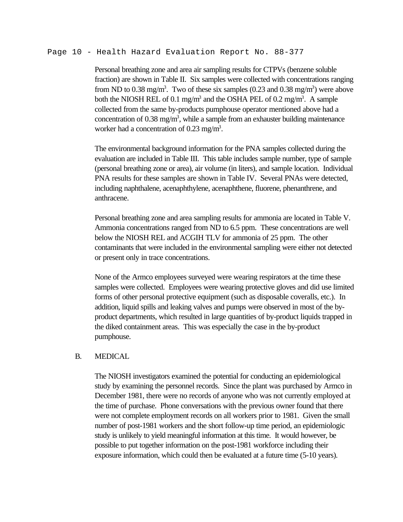#### Page 10 - Health Hazard Evaluation Report No. 88-377

Personal breathing zone and area air sampling results for CTPVs (benzene soluble fraction) are shown in Table II. Six samples were collected with concentrations ranging from ND to 0.38 mg/m<sup>3</sup>. Two of these six samples (0.23 and 0.38 mg/m<sup>3</sup>) were above both the NIOSH REL of 0.1 mg/m<sup>3</sup> and the OSHA PEL of 0.2 mg/m<sup>3</sup>. A sample collected from the same by-products pumphouse operator mentioned above had a concentration of  $0.38 \text{ mg/m}^3$ , while a sample from an exhauster building maintenance worker had a concentration of  $0.23$  mg/m<sup>3</sup>.

The environmental background information for the PNA samples collected during the evaluation are included in Table III. This table includes sample number, type of sample (personal breathing zone or area), air volume (in liters), and sample location. Individual PNA results for these samples are shown in Table IV. Several PNAs were detected, including naphthalene, acenaphthylene, acenaphthene, fluorene, phenanthrene, and anthracene.

Personal breathing zone and area sampling results for ammonia are located in Table V. Ammonia concentrations ranged from ND to 6.5 ppm. These concentrations are well below the NIOSH REL and ACGIH TLV for ammonia of 25 ppm. The other contaminants that were included in the environmental sampling were either not detected or present only in trace concentrations.

None of the Armco employees surveyed were wearing respirators at the time these samples were collected. Employees were wearing protective gloves and did use limited forms of other personal protective equipment (such as disposable coveralls, etc.). In addition, liquid spills and leaking valves and pumps were observed in most of the byproduct departments, which resulted in large quantities of by-product liquids trapped in the diked containment areas. This was especially the case in the by-product pumphouse.

### B. MEDICAL

The NIOSH investigators examined the potential for conducting an epidemiological study by examining the personnel records. Since the plant was purchased by Armco in December 1981, there were no records of anyone who was not currently employed at the time of purchase. Phone conversations with the previous owner found that there were not complete employment records on all workers prior to 1981. Given the small number of post-1981 workers and the short follow-up time period, an epidemiologic study is unlikely to yield meaningful information at this time. It would however, be possible to put together information on the post-1981 workforce including their exposure information, which could then be evaluated at a future time (5-10 years).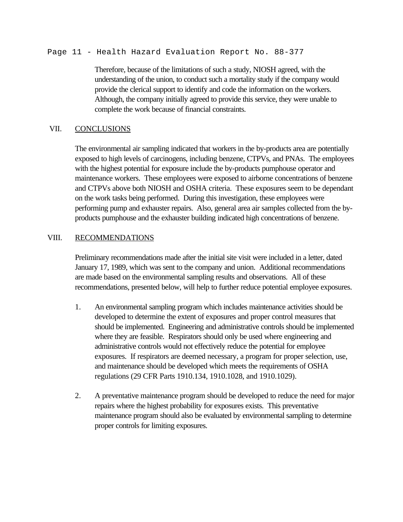Page 11 - Health Hazard Evaluation Report No. 88-377

Therefore, because of the limitations of such a study, NIOSH agreed, with the understanding of the union, to conduct such a mortality study if the company would provide the clerical support to identify and code the information on the workers. Although, the company initially agreed to provide this service, they were unable to complete the work because of financial constraints.

### VII. CONCLUSIONS

The environmental air sampling indicated that workers in the by-products area are potentially exposed to high levels of carcinogens, including benzene, CTPVs, and PNAs. The employees with the highest potential for exposure include the by-products pumphouse operator and maintenance workers. These employees were exposed to airborne concentrations of benzene and CTPVs above both NIOSH and OSHA criteria. These exposures seem to be dependant on the work tasks being performed. During this investigation, these employees were performing pump and exhauster repairs. Also, general area air samples collected from the byproducts pumphouse and the exhauster building indicated high concentrations of benzene.

### VIII. RECOMMENDATIONS

Preliminary recommendations made after the initial site visit were included in a letter, dated January 17, 1989, which was sent to the company and union. Additional recommendations are made based on the environmental sampling results and observations. All of these recommendations, presented below, will help to further reduce potential employee exposures.

- 1. An environmental sampling program which includes maintenance activities should be developed to determine the extent of exposures and proper control measures that should be implemented. Engineering and administrative controls should be implemented where they are feasible. Respirators should only be used where engineering and administrative controls would not effectively reduce the potential for employee exposures. If respirators are deemed necessary, a program for proper selection, use, and maintenance should be developed which meets the requirements of OSHA regulations (29 CFR Parts 1910.134, 1910.1028, and 1910.1029).
- 2. A preventative maintenance program should be developed to reduce the need for major repairs where the highest probability for exposures exists. This preventative maintenance program should also be evaluated by environmental sampling to determine proper controls for limiting exposures.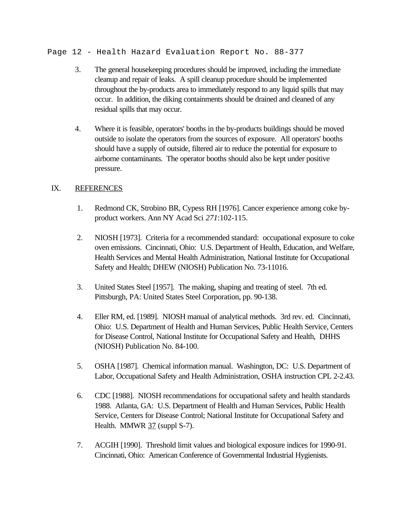Page 12 - Health Hazard Evaluation Report No. 88-377

- 3. The general housekeeping procedures should be improved, including the immediate cleanup and repair of leaks. A spill cleanup procedure should be implemented throughout the by-products area to immediately respond to any liquid spills that may occur. In addition, the diking containments should be drained and cleaned of any residual spills that may occur.
- 4. Where it is feasible, operators' booths in the by-products buildings should be moved outside to isolate the operators from the sources of exposure. All operators' booths should have a supply of outside, filtered air to reduce the potential for exposure to airborne contaminants. The operator booths should also be kept under positive pressure.

# IX. REFERENCES

- 1. Redmond CK, Strobino BR, Cypess RH [1976]. Cancer experience among coke byproduct workers. Ann NY Acad Sci *271*:102-115.
- 2. NIOSH [1973]. Criteria for a recommended standard: occupational exposure to coke oven emissions. Cincinnati, Ohio: U.S. Department of Health, Education, and Welfare, Health Services and Mental Health Administration, National Institute for Occupational Safety and Health; DHEW (NIOSH) Publication No. 73-11016.
- 3. United States Steel [1957]. The making, shaping and treating of steel. 7th ed. Pittsburgh, PA: United States Steel Corporation, pp. 90-138.
- 4. Eller RM, ed. [1989]. NIOSH manual of analytical methods. 3rd rev. ed. Cincinnati, Ohio: U.S. Department of Health and Human Services, Public Health Service, Centers for Disease Control, National Institute for Occupational Safety and Health, DHHS (NIOSH) Publication No. 84-100.
- 5. OSHA [1987]. Chemical information manual. Washington, DC: U.S. Department of Labor, Occupational Safety and Health Administration, OSHA instruction CPL 2-2.43.
- 6. CDC [1988]. NIOSH recommendations for occupational safety and health standards 1988. Atlanta, GA: U.S. Department of Health and Human Services, Public Health Service, Centers for Disease Control; National Institute for Occupational Safety and Health. MMWR 37 (suppl S-7).
- 7. ACGIH [1990]. Threshold limit values and biological exposure indices for 1990-91. Cincinnati, Ohio: American Conference of Governmental Industrial Hygienists.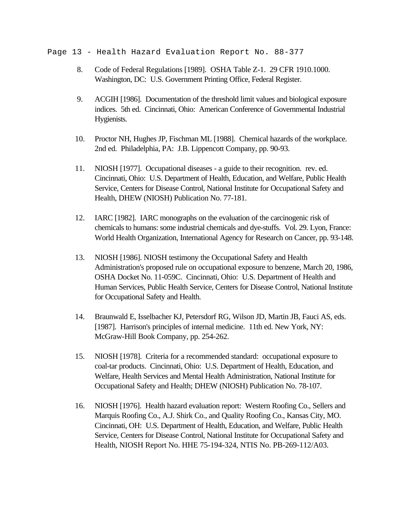### Page 13 - Health Hazard Evaluation Report No. 88-377

- 8. Code of Federal Regulations [1989]. OSHA Table Z-1. 29 CFR 1910.1000. Washington, DC: U.S. Government Printing Office, Federal Register.
- 9. ACGIH [1986]. Documentation of the threshold limit values and biological exposure indices. 5th ed. Cincinnati, Ohio: American Conference of Governmental Industrial Hygienists.
- 10. Proctor NH, Hughes JP, Fischman ML [1988]. Chemical hazards of the workplace. 2nd ed. Philadelphia, PA: J.B. Lippencott Company, pp. 90-93.
- 11. NIOSH [1977]. Occupational diseases a guide to their recognition. rev. ed. Cincinnati, Ohio: U.S. Department of Health, Education, and Welfare, Public Health Service, Centers for Disease Control, National Institute for Occupational Safety and Health, DHEW (NIOSH) Publication No. 77-181.
- 12. IARC [1982]. IARC monographs on the evaluation of the carcinogenic risk of chemicals to humans: some industrial chemicals and dye-stuffs. Vol. 29. Lyon, France: World Health Organization, International Agency for Research on Cancer, pp. 93-148.
- 13. NIOSH [1986]. NIOSH testimony the Occupational Safety and Health Administration's proposed rule on occupational exposure to benzene, March 20, 1986, OSHA Docket No. 11-059C. Cincinnati, Ohio: U.S. Department of Health and Human Services, Public Health Service, Centers for Disease Control, National Institute for Occupational Safety and Health.
- 14. Braunwald E, Isselbacher KJ, Petersdorf RG, Wilson JD, Martin JB, Fauci AS, eds. [1987]. Harrison's principles of internal medicine. 11th ed. New York, NY: McGraw-Hill Book Company, pp. 254-262.
- 15. NIOSH [1978]. Criteria for a recommended standard: occupational exposure to coal-tar products. Cincinnati, Ohio: U.S. Department of Health, Education, and Welfare, Health Services and Mental Health Administration, National Institute for Occupational Safety and Health; DHEW (NIOSH) Publication No. 78-107.
- 16. NIOSH [1976]. Health hazard evaluation report: Western Roofing Co., Sellers and Marquis Roofing Co., A.J. Shirk Co., and Quality Roofing Co., Kansas City, MO. Cincinnati, OH: U.S. Department of Health, Education, and Welfare, Public Health Service, Centers for Disease Control, National Institute for Occupational Safety and Health, NIOSH Report No. HHE 75-194-324, NTIS No. PB-269-112/A03.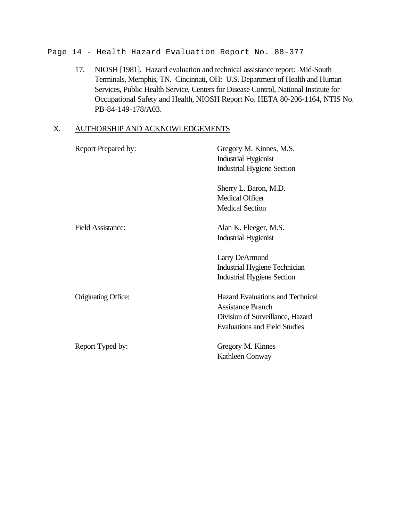Page 14 - Health Hazard Evaluation Report No. 88-377

17. NIOSH [1981]. Hazard evaluation and technical assistance report: Mid-South Terminals, Memphis, TN. Cincinnati, OH: U.S. Department of Health and Human Services, Public Health Service, Centers for Disease Control, National Institute for Occupational Safety and Health, NIOSH Report No. HETA 80-206-1164, NTIS No. PB-84-149-178/A03.

# X. AUTHORSHIP AND ACKNOWLEDGEMENTS

| Report Prepared by:      | Gregory M. Kinnes, M.S.<br><b>Industrial Hygienist</b><br><b>Industrial Hygiene Section</b>                                                     |
|--------------------------|-------------------------------------------------------------------------------------------------------------------------------------------------|
|                          | Sherry L. Baron, M.D.<br><b>Medical Officer</b><br><b>Medical Section</b>                                                                       |
| <b>Field Assistance:</b> | Alan K. Fleeger, M.S.<br><b>Industrial Hygienist</b>                                                                                            |
|                          | Larry DeArmond<br>Industrial Hygiene Technician<br><b>Industrial Hygiene Section</b>                                                            |
| Originating Office:      | <b>Hazard Evaluations and Technical</b><br><b>Assistance Branch</b><br>Division of Surveillance, Hazard<br><b>Evaluations and Field Studies</b> |
| Report Typed by:         | Gregory M. Kinnes<br>Kathleen Conway                                                                                                            |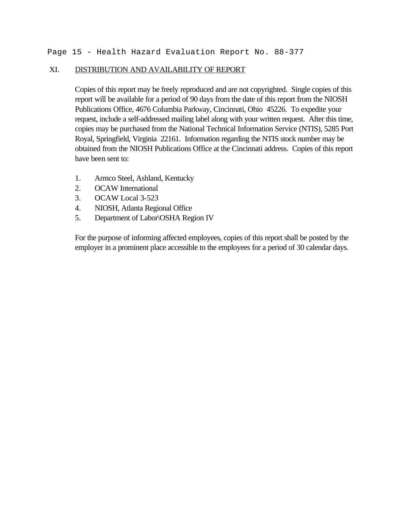## XI. DISTRIBUTION AND AVAILABILITY OF REPORT

Copies of this report may be freely reproduced and are not copyrighted. Single copies of this report will be available for a period of 90 days from the date of this report from the NIOSH Publications Office, 4676 Columbia Parkway, Cincinnati, Ohio 45226. To expedite your request, include a self-addressed mailing label along with your written request. After this time, copies may be purchased from the National Technical Information Service (NTIS), 5285 Port Royal, Springfield, Virginia 22161. Information regarding the NTIS stock number may be obtained from the NIOSH Publications Office at the Cincinnati address. Copies of this report have been sent to:

- 1. Armco Steel, Ashland, Kentucky
- 2. OCAW International
- 3. OCAW Local 3-523
- 4. NIOSH, Atlanta Regional Office
- 5. Department of Labor\OSHA Region IV

For the purpose of informing affected employees, copies of this report shall be posted by the employer in a prominent place accessible to the employees for a period of 30 calendar days.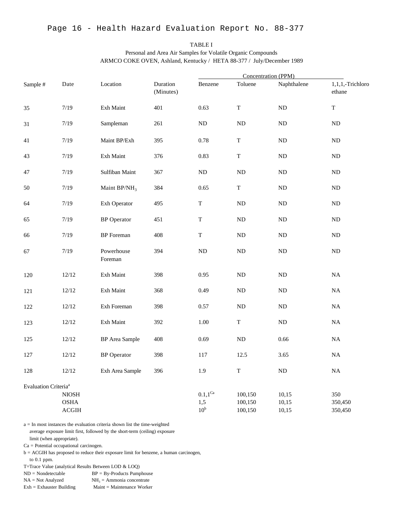TABLE I Personal and Area Air Samples for Volatile Organic Compounds ARMCO COKE OVEN, Ashland, Kentucky / HETA 88-377 / July/December 1989

|                                  |                                    |                       |                       |                                                 | Concentration (PPM)           |                         |                            |  |  |  |
|----------------------------------|------------------------------------|-----------------------|-----------------------|-------------------------------------------------|-------------------------------|-------------------------|----------------------------|--|--|--|
| Sample #                         | Date                               | Location              | Duration<br>(Minutes) | Benzene                                         | Toluene                       | Naphthalene             | 1,1,1,-Trichloro<br>ethane |  |  |  |
| 35                               | $7/19$                             | Exh Maint             | 401                   | 0.63                                            | $\mathbf T$                   | $\rm ND$                | $\mathbf T$                |  |  |  |
| 31                               | 7/19                               | Sampleman             | 261                   | ${\rm ND}$                                      | $\rm ND$                      | $\rm ND$                | $\rm ND$                   |  |  |  |
| 41                               | 7/19                               | Maint BP/Exh          | 395                   | 0.78                                            | T                             | ND                      | ND                         |  |  |  |
| 43                               | 7/19                               | Exh Maint             | 376                   | 0.83                                            | $\mathbf T$                   | ND                      | $\rm ND$                   |  |  |  |
| 47                               | $7/19$                             | Sulfiban Maint        | 367                   | ND                                              | $\rm ND$                      | ND                      | $\rm ND$                   |  |  |  |
| 50                               | 7/19                               | Maint $BP/NH_3$       | 384                   | 0.65                                            | $\rm T$                       | ND                      | ND                         |  |  |  |
| 64                               | 7/19                               | Exh Operator          | 495                   | ${\bf T}$                                       | $\rm ND$                      | ND                      | $\rm ND$                   |  |  |  |
| 65                               | $7/19$                             | <b>BP</b> Operator    | 451                   | $\mathbf T$<br>$\rm ND$                         |                               | $\rm ND$                | $\rm ND$                   |  |  |  |
| 66                               | $7/19$                             | <b>BP</b> Foreman     | 408                   | $\mathbf T$                                     | $\rm ND$                      | $\rm ND$                | $\rm ND$                   |  |  |  |
| 67                               | $7/19$                             | Powerhouse<br>Foreman | 394                   | ${\rm ND}$                                      | $\rm ND$                      | $\rm ND$                | $\rm ND$                   |  |  |  |
| 120                              | 12/12                              | Exh Maint             | 398                   | 0.95                                            | $\rm ND$                      | ND                      | $_{\rm NA}$                |  |  |  |
| 121                              | 12/12                              | Exh Maint             | 368                   | 0.49                                            | $\rm ND$                      | $\rm ND$                | $_{\rm NA}$                |  |  |  |
| 122                              | 12/12                              | Exh Foreman           | 398                   | 0.57                                            | ND                            | ND                      | $_{\rm NA}$                |  |  |  |
| 123                              | 12/12                              | Exh Maint             | 392                   | $1.00\,$                                        | T                             | ND                      | $_{\rm NA}$                |  |  |  |
| 125                              | 12/12                              | <b>BP</b> Area Sample | 408                   | 0.69                                            | $\rm ND$                      | 0.66                    | $\rm NA$                   |  |  |  |
| 127                              | $12/12\,$                          | <b>BP</b> Operator    | 398                   | 117                                             | 12.5                          | 3.65                    | $_{\rm NA}$                |  |  |  |
| 128                              | 12/12                              | Exh Area Sample       | 396                   | 1.9                                             | $\mathbf T$                   | $\rm ND$                | $\rm NA$                   |  |  |  |
| Evaluation Criteria <sup>a</sup> |                                    |                       |                       |                                                 |                               |                         |                            |  |  |  |
|                                  | $\,$ NIOSH<br>$\rm{OSHA}$<br>ACGIH |                       |                       | $0.1,\mathrm{1^{Ca}}$<br>1,5<br>10 <sup>b</sup> | 100,150<br>100,150<br>100,150 | 10,15<br>10,15<br>10,15 | 350<br>350,450<br>350,450  |  |  |  |

a = In most instances the evaluation criteria shown list the time-weighted average exposure limit first, followed by the short-term (ceiling) exposure limit (when appropriate).

Ca = Potential occupational carcinogen.

b = ACGIH has proposed to reduce their exposure limit for benzene, a human carcinogen, to 0.1 ppm.

T=Trace Value (analytical Results Between LOD & LOQ)

 $ND = Nondetectable$   $BP = By-Products$  Pumphouse

 $NA = Not Analyzed$  $NH<sub>3</sub>$  = Ammonia concentrate

Exh = Exhauster Building Maint = Maintenance Worker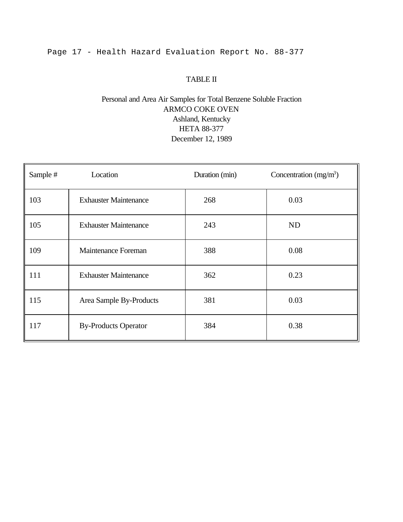# Page 17 - Health Hazard Evaluation Report No. 88-377

## TABLE II

# Personal and Area Air Samples for Total Benzene Soluble Fraction ARMCO COKE OVEN Ashland, Kentucky HETA 88-377 December 12, 1989

| Sample # | Location                     | Duration (min) | Concentration $(mg/m3)$ |
|----------|------------------------------|----------------|-------------------------|
| 103      | <b>Exhauster Maintenance</b> | 268            | 0.03                    |
| 105      | <b>Exhauster Maintenance</b> | 243            | ND                      |
| 109      | Maintenance Foreman          | 388            | 0.08                    |
| 111      | <b>Exhauster Maintenance</b> | 362            | 0.23                    |
| 115      | Area Sample By-Products      | 381            | 0.03                    |
| 117      | <b>By-Products Operator</b>  | 384            | 0.38                    |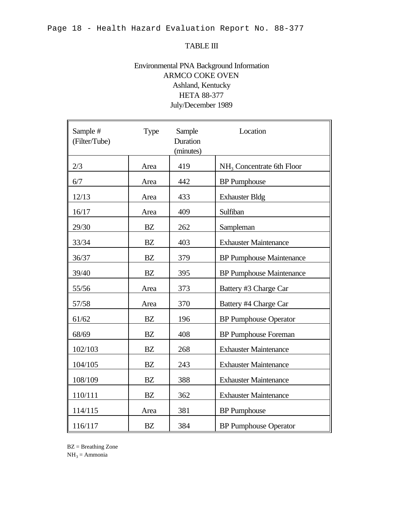### TABLE III

# Environmental PNA Background Information ARMCO COKE OVEN Ashland, Kentucky HETA 88-377 July/December 1989

| Sample #<br>(Filter/Tube) | <b>Type</b> | Sample<br>Duration<br>(minutes) | Location                              |
|---------------------------|-------------|---------------------------------|---------------------------------------|
| 2/3                       | Area        | 419                             | NH <sub>3</sub> Concentrate 6th Floor |
| 6/7                       | Area        | 442                             | <b>BP</b> Pumphouse                   |
| 12/13                     | Area        | 433                             | <b>Exhauster Bldg</b>                 |
| 16/17                     | Area        | 409                             | Sulfiban                              |
| 29/30                     | <b>BZ</b>   | 262                             | Sampleman                             |
| 33/34                     | BZ          | 403                             | <b>Exhauster Maintenance</b>          |
| 36/37                     | <b>BZ</b>   | 379                             | <b>BP Pumphouse Maintenance</b>       |
| 39/40                     | BZ          | 395                             | <b>BP Pumphouse Maintenance</b>       |
| 55/56                     | Area        | 373                             | Battery #3 Charge Car                 |
| 57/58                     | Area        | 370                             | Battery #4 Charge Car                 |
| 61/62                     | BZ          | 196                             | <b>BP Pumphouse Operator</b>          |
| 68/69                     | <b>BZ</b>   | 408                             | <b>BP</b> Pumphouse Foreman           |
| 102/103                   | BZ          | 268                             | <b>Exhauster Maintenance</b>          |
| 104/105                   | <b>BZ</b>   | 243                             | <b>Exhauster Maintenance</b>          |
| 108/109                   | BZ          | 388                             | <b>Exhauster Maintenance</b>          |
| 110/111                   | <b>BZ</b>   | 362                             | <b>Exhauster Maintenance</b>          |
| 114/115                   | Area        | 381                             | <b>BP</b> Pumphouse                   |
| 116/117                   | <b>BZ</b>   | 384                             | <b>BP</b> Pumphouse Operator          |

BZ = Breathing Zone

 $NH<sub>3</sub>$  = Ammonia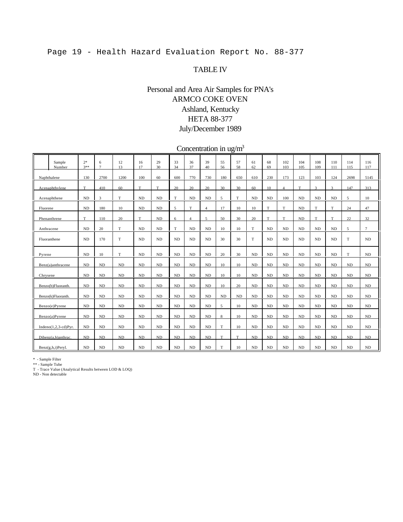# Page 19 - Health Hazard Evaluation Report No. 88-377

### TABLE IV

# Personal and Area Air Samples for PNA's ARMCO COKE OVEN Ashland, Kentucky HETA 88-377 July/December 1989

Concentration in  $\frac{u g}{m^3}$ 

| Sample<br>Number       | $2*$<br>$3***$ | 6<br>$\overline{7}$ | 12<br>13 | 16<br>17  | 29<br>30  | 33<br>34 | 36<br>37       | 39<br>40       | 55<br>56 | 57<br>58  | 61<br>62  | 68<br>69 | 102<br>103     | 104<br>105 | 108<br>109 | 110<br>111 | 114<br>115 | 116<br>117 |
|------------------------|----------------|---------------------|----------|-----------|-----------|----------|----------------|----------------|----------|-----------|-----------|----------|----------------|------------|------------|------------|------------|------------|
| Naphthalene            | 130            | 2700                | 1200     | 100       | 60        | 600      | 770            | 730            | 180      | 650       | 610       | 230      | 173            | 123        | 103        | 124        | 2698       | 5145       |
| Acenaphthylene         | T              | 410                 | 60       | T         | T         | 20       | 20             | 20             | 30       | 30        | 60        | 10       | $\overline{4}$ | T          | 3          | 3          | 147        | 313        |
| Acenaphthene           | ND             | 3                   | T        | <b>ND</b> | <b>ND</b> | T        | <b>ND</b>      | ND             | 5        | T         | <b>ND</b> | ND       | 100            | <b>ND</b>  | <b>ND</b>  | <b>ND</b>  | 5          | 10         |
| Fluorene               | ND             | 180                 | 10       | <b>ND</b> | <b>ND</b> | 5        | T              | $\overline{4}$ | 17       | 10        | 10        | T        | T              | <b>ND</b>  | T          | T          | 24         | 47         |
| Phenanthrene           | T              | 110                 | 20       | T         | ND        | 6        | $\overline{4}$ | 5              | 50       | 30        | 20        | T        | T              | ND         | T          | T          | 22         | 32         |
| Anthracene             | ND             | 20                  | T        | <b>ND</b> | <b>ND</b> | T        | <b>ND</b>      | ND             | 10       | 10        | T         | ND       | ND             | <b>ND</b>  | <b>ND</b>  | ND         | 5          | $\tau$     |
| Fluoranthene           | ND             | 170                 | T        | <b>ND</b> | ND        | ND       | <b>ND</b>      | ND             | 30       | 30        | T         | ND       | ND             | <b>ND</b>  | <b>ND</b>  | <b>ND</b>  | T          | ND         |
| Pyrene                 | ND             | 10                  | T        | <b>ND</b> | ND        | ND       | <b>ND</b>      | ND             | 20       | 30        | <b>ND</b> | ND       | ND             | <b>ND</b>  | <b>ND</b>  | ND         | T          | ND         |
| Benz(a)anthracene      | ND             | ND                  | ND       | <b>ND</b> | ND        | ND       | ND             | ND             | 10       | 10        | $\rm ND$  | ND       | ND             | ND         | ND         | ND         | $\rm ND$   | ND         |
| Chrysene               | ND             | ND                  | ND       | ND        | <b>ND</b> | ND       | ND             | ND             | 10       | 10        | <b>ND</b> | ND       | ND             | <b>ND</b>  | ND         | ND         | $\rm ND$   | ND         |
| Benzo(b)Fluoranth.     | ND             | ND                  | ND       | <b>ND</b> | ND        | ND       | <b>ND</b>      | ND             | 10       | 20        | <b>ND</b> | ND       | ND             | <b>ND</b>  | <b>ND</b>  | ND         | $\rm ND$   | ND         |
| Benzo(k)Fluoranth.     | ND             | ND                  | ND       | <b>ND</b> | ND        | $\rm ND$ | ND             | ND             | ND       | <b>ND</b> | <b>ND</b> | ND       | ND             | ND         | ND         | ND         | $\rm ND$   | ND         |
| Benzo(e)Pyrene         | ND             | ND                  | ND       | ND        | ND        | ND       | ND             | ND             | 5        | 10        | ND        | ND       | ND             | ND         | ND         | ND         | ND         | ND         |
| Benzo(a)Pyrene         | ND             | ND                  | $\rm ND$ | $\rm ND$  | ND        | ND       | ND             | ND             | 8        | 10        | <b>ND</b> | ND       | ND             | ND         | ND         | ND         | $\rm ND$   | ND         |
| $Indeno(1,2,3-cd)Pyr.$ | ND             | ND                  | ND       | <b>ND</b> | ND        | $\rm ND$ | ND             | ND             | T        | 10        | <b>ND</b> | ND       | ND             | <b>ND</b>  | ND         | ND         | $\rm ND$   | ND         |
| Dibenz(a,h)anthrac.    | ND             | ND                  | ND       | ND        | ND        | ND       | ND             | ND             | T        | T         | ND        | ND       | ND             | ND         | ND         | ND         | ND         | ND         |
| Benz(g,h,i)Peryl.      | ND             | ND                  | ND       | $\rm ND$  | ND        | $\rm ND$ | <b>ND</b>      | ND             | T        | 10        | <b>ND</b> | ND       | ND             | <b>ND</b>  | <b>ND</b>  | ND         | $\rm ND$   | ND         |

\* - Sample Filter \*\* - Sample Tube T - Trace Value (Analytical Results between LOD & LOQ)

ND - Non detectable